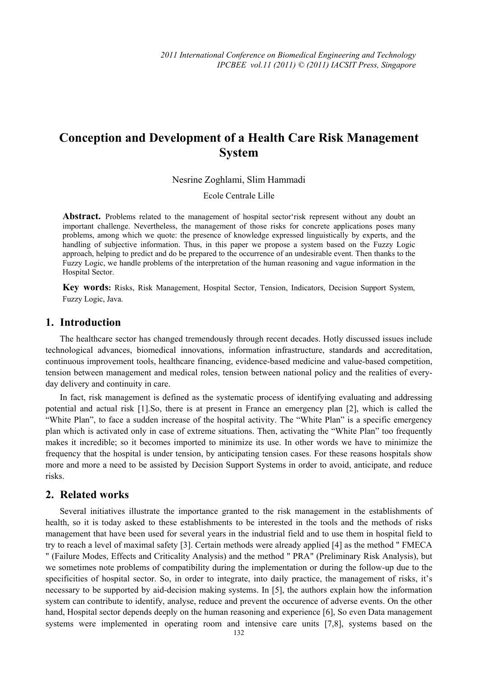# **Conception and Development of a Health Care Risk Management System**

#### Nesrine Zoghlami, Slim Hammadi

Ecole Centrale Lille

Abstract. Problems related to the management of hospital sector'risk represent without any doubt an important challenge. Nevertheless, the management of those risks for concrete applications poses many problems, among which we quote: the presence of knowledge expressed linguistically by experts, and the handling of subjective information. Thus, in this paper we propose a system based on the Fuzzy Logic approach, helping to predict and do be prepared to the occurrence of an undesirable event. Then thanks to the Fuzzy Logic, we handle problems of the interpretation of the human reasoning and vague information in the Hospital Sector.

**Key words:** Risks, Risk Management, Hospital Sector, Tension, Indicators, Decision Support System, Fuzzy Logic, Java.

## **1. Introduction**

The healthcare sector has changed tremendously through recent decades. Hotly discussed issues include technological advances, biomedical innovations, information infrastructure, standards and accreditation, continuous improvement tools, healthcare financing, evidence-based medicine and value-based competition, tension between management and medical roles, tension between national policy and the realities of everyday delivery and continuity in care.

In fact, risk management is defined as the systematic process of identifying evaluating and addressing potential and actual risk [1].So, there is at present in France an emergency plan [2], which is called the "White Plan", to face a sudden increase of the hospital activity. The "White Plan" is a specific emergency plan which is activated only in case of extreme situations. Then, activating the "White Plan" too frequently makes it incredible; so it becomes imported to minimize its use. In other words we have to minimize the frequency that the hospital is under tension, by anticipating tension cases. For these reasons hospitals show more and more a need to be assisted by Decision Support Systems in order to avoid, anticipate, and reduce risks.

## **2. Related works**

Several initiatives illustrate the importance granted to the risk management in the establishments of health, so it is today asked to these establishments to be interested in the tools and the methods of risks management that have been used for several years in the industrial field and to use them in hospital field to try to reach a level of maximal safety [3]. Certain methods were already applied [4] as the method " FMECA " (Failure Modes, Effects and Criticality Analysis) and the method " PRA" (Preliminary Risk Analysis), but we sometimes note problems of compatibility during the implementation or during the follow-up due to the specificities of hospital sector. So, in order to integrate, into daily practice, the management of risks, it's necessary to be supported by aid-decision making systems. In [5], the authors explain how the information system can contribute to identify, analyse, reduce and prevent the occurence of adverse events. On the other hand, Hospital sector depends deeply on the human reasoning and experience [6], So even Data management systems were implemented in operating room and intensive care units [7,8], systems based on the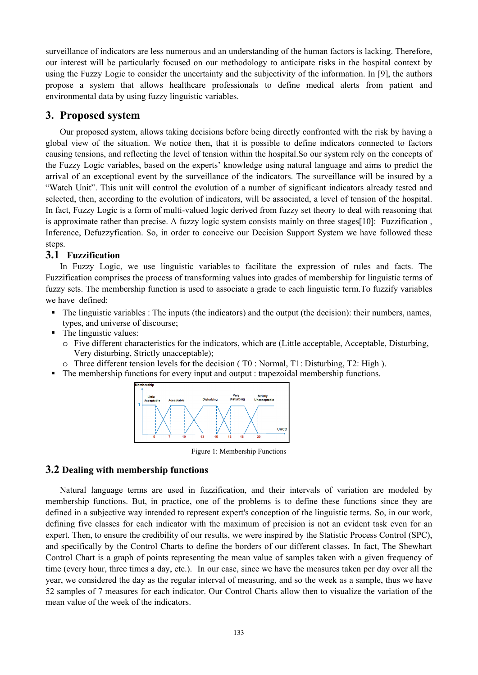surveillance of indicators are less numerous and an understanding of the human factors is lacking. Therefore, our interest will be particularly focused on our methodology to anticipate risks in the hospital context by using the Fuzzy Logic to consider the uncertainty and the subjectivity of the information. In [9], the authors propose a system that allows healthcare professionals to define medical alerts from patient and environmental data by using fuzzy linguistic variables.

## **3. Proposed system**

Our proposed system, allows taking decisions before being directly confronted with the risk by having a global view of the situation. We notice then, that it is possible to define indicators connected to factors causing tensions, and reflecting the level of tension within the hospital.So our system rely on the concepts of the Fuzzy Logic variables, based on the experts' knowledge using natural language and aims to predict the arrival of an exceptional event by the surveillance of the indicators. The surveillance will be insured by a "Watch Unit". This unit will control the evolution of a number of significant indicators already tested and selected, then, according to the evolution of indicators, will be associated, a level of tension of the hospital. In fact, Fuzzy Logic is a form of multi-valued logic derived from fuzzy set theory to deal with reasoning that is approximate rather than precise. A fuzzy logic system consists mainly on three stages[10]: Fuzzification , Inference, Defuzzyfication. So, in order to conceive our Decision Support System we have followed these steps.

## **3.1 Fuzzification**

In Fuzzy Logic, we use linguistic variables to facilitate the expression of rules and facts. The Fuzzification comprises the process of transforming values into grades of membership for linguistic terms of fuzzy sets. The membership function is used to associate a grade to each linguistic term.To fuzzify variables we have defined:

- The linguistic variables : The inputs (the indicators) and the output (the decision): their numbers, names, types, and universe of discourse;
- The linguistic values:
	- o Five different characteristics for the indicators, which are (Little acceptable, Acceptable, Disturbing, Very disturbing, Strictly unacceptable);
- o Three different tension levels for the decision ( T0 : Normal, T1: Disturbing, T2: High ).
- The membership functions for every input and output : trapezoidal membership functions.



Figure 1: Membership Functions

## **3.2 Dealing with membership functions**

Natural language terms are used in fuzzification, and their intervals of variation are modeled by membership functions. But, in practice, one of the problems is to define these functions since they are defined in a subjective way intended to represent expert's conception of the linguistic terms. So, in our work, defining five classes for each indicator with the maximum of precision is not an evident task even for an expert. Then, to ensure the credibility of our results, we were inspired by the Statistic Process Control (SPC), and specifically by the Control Charts to define the borders of our different classes. In fact, The Shewhart Control Chart is a graph of points representing the mean value of samples taken with a given frequency of time (every hour, three times a day, etc.). In our case, since we have the measures taken per day over all the year, we considered the day as the regular interval of measuring, and so the week as a sample, thus we have 52 samples of 7 measures for each indicator. Our Control Charts allow then to visualize the variation of the mean value of the week of the indicators.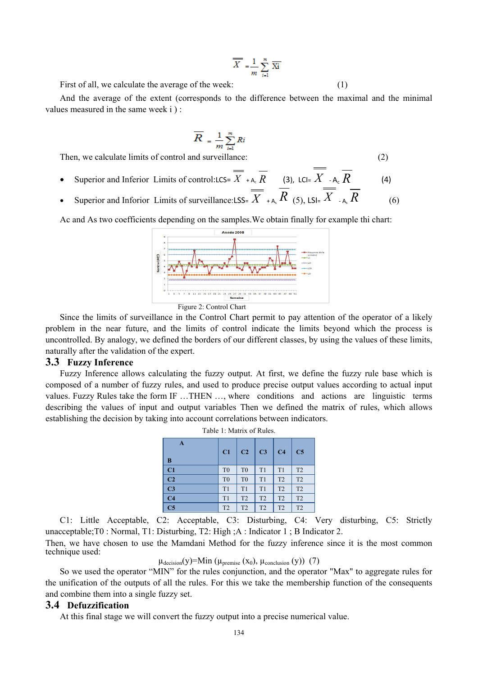$$
\overline{X} = \frac{1}{m} \sum_{i=1}^{m} \overline{Xi}
$$

First of all, we calculate the average of the week: (1)

And the average of the extent (corresponds to the difference between the maximal and the minimal values measured in the same week i ) :

$$
\overline{R} = \frac{1}{m} \sum_{i=1}^{m} Ri
$$

Then, we calculate limits of control and surveillance: (2)

- Superior and Inferior Limits of control:LCS=  $\overline{X}$  + A<sub>c</sub>  $\overline{R}$  (3), LCI=  $X$  A<sub>c</sub>  $\overline{R}$  (4)
- Superior and Inforior Limits of surveillance:LSS=  $\overline{X}$  + A<sub>s</sub>  $\overline{R}$  (5), LSI=  $\overline{X}$  A<sub>s</sub>  $\overline{R}$  (6)

Ac and As two coefficients depending on the samples.We obtain finally for example thi chart:



Figure 2: Control Chart

Since the limits of surveillance in the Control Chart permit to pay attention of the operator of a likely problem in the near future, and the limits of control indicate the limits beyond which the process is uncontrolled. By analogy, we defined the borders of our different classes, by using the values of these limits, naturally after the validation of the expert.

#### **3.3 Fuzzy Inference**

Fuzzy Inference allows calculating the fuzzy output. At first, we define the fuzzy rule base which is composed of a number of fuzzy rules, and used to produce precise output values according to actual input values. Fuzzy Rules take the form IF …THEN …, where conditions and actions are linguistic terms describing the values of input and output variables Then we defined the matrix of rules, which allows establishing the decision by taking into account correlations between indicators.

Table 1: Matrix of Rules.

| A<br>B                 | C1             | C <sub>2</sub> | C <sub>3</sub> | C <sub>4</sub> | C <sub>5</sub> |
|------------------------|----------------|----------------|----------------|----------------|----------------|
| C1                     | T <sub>0</sub> | T <sub>0</sub> | T1             | T1             | T <sub>2</sub> |
| C <sub>2</sub>         | T <sub>0</sub> | T <sub>0</sub> | T1             | T <sub>2</sub> | T <sub>2</sub> |
| C <sub>3</sub>         | T1             | T1             | T1             | T <sub>2</sub> | T <sub>2</sub> |
| C <sub>4</sub>         | T1             | T2             | T2             | T2             | T <sub>2</sub> |
| $\overline{\text{C5}}$ | T <sub>2</sub> | T <sub>2</sub> | T <sub>2</sub> | T <sub>2</sub> | T <sub>2</sub> |

C1: Little Acceptable, C2: Acceptable, C3: Disturbing, C4: Very disturbing, C5: Strictly unacceptable;T0 : Normal, T1: Disturbing, T2: High ;A : Indicator 1 ; B Indicator 2.

Then, we have chosen to use the Mamdani Method for the fuzzy inference since it is the most common technique used:

## $\mu_{\text{decision}}(y)$ =Min ( $\mu_{\text{premise}}(x_0)$ ,  $\mu_{\text{conclusion}}(y)$ ) (7)

So we used the operator "MIN" for the rules conjunction, and the operator "Max" to aggregate rules for the unification of the outputs of all the rules. For this we take the membership function of the consequents and combine them into a single fuzzy set.

#### **3.4 Defuzzification**

At this final stage we will convert the fuzzy output into a precise numerical value.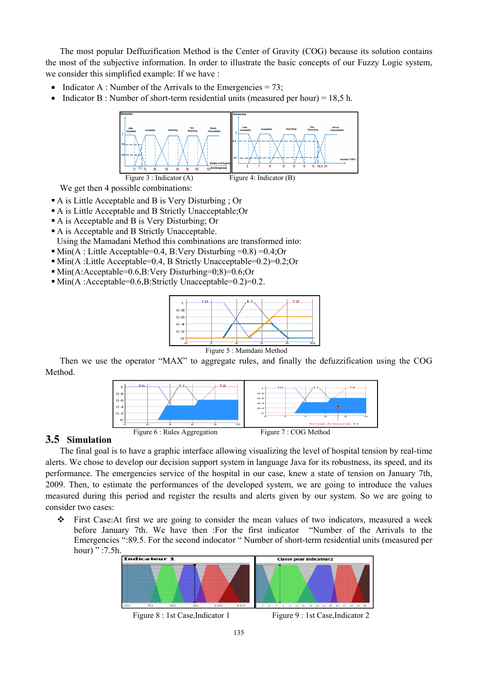The most popular Deffuzification Method is the Center of Gravity (COG) because its solution contains the most of the subjective information. In order to illustrate the basic concepts of our Fuzzy Logic system, we consider this simplified example: If we have :

- Indicator A : Number of the Arrivals to the Emergencies  $= 73$ ;
- Indicator B : Number of short-term residential units (measured per hour) = 18,5 h.



We get then 4 possible combinations:

- A is Little Acceptable and B is Very Disturbing ; Or
- A is Little Acceptable and B Strictly Unacceptable;Or
- A is Acceptable and B is Very Disturbing; Or
- A is Acceptable and B Strictly Unacceptable.

Using the Mamadani Method this combinations are transformed into:

- $\blacksquare$  Min(A : Little Acceptable=0.4, B:Very Disturbing =0.8) =0.4;Or
- Min(A :Little Acceptable=0.4, B Strictly Unacceptable=0.2)=0.2;Or
- $\blacksquare$  Min(A:Acceptable=0.6,B:Very Disturbing=0;8)=0.6;Or
- $\blacksquare$  Min(A :Acceptable=0.6,B:Strictly Unacceptable=0.2)=0.2.



Then we use the operator "MAX" to aggregate rules, and finally the defuzzification using the COG Method.



## **3.5 Simulation**

The final goal is to have a graphic interface allowing visualizing the level of hospital tension by real-time alerts. We chose to develop our decision support system in language Java for its robustness, its speed, and its performance. The emergencies service of the hospital in our case, knew a state of tension on January 7th, 2009. Then, to estimate the performances of the developed system, we are going to introduce the values measured during this period and register the results and alerts given by our system. So we are going to consider two cases:

 First Case:At first we are going to consider the mean values of two indicators, measured a week before January 7th. We have then :For the first indicator "Number of the Arrivals to the Emergencies ":89.5. For the second indocator " Number of short-term residential units (measured per hour) " :7.5h.